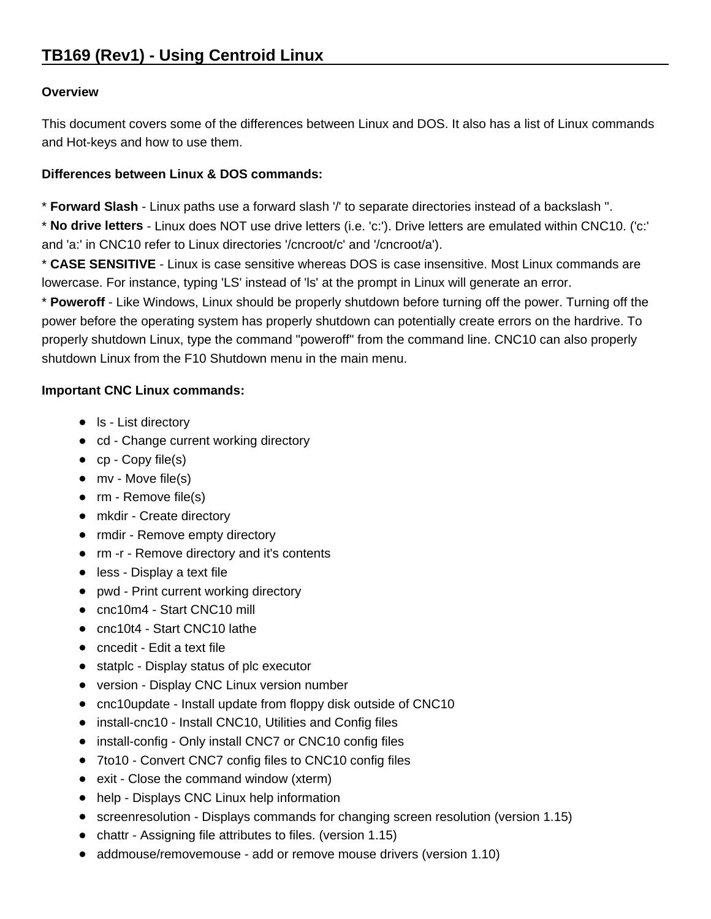# **Overview**

This document covers some of the differences between Linux and DOS. It also has a list of Linux commands and Hot-keys and how to use them.

# **Differences between Linux & DOS commands:**

\* **Forward Slash** - Linux paths use a forward slash '/' to separate directories instead of a backslash ''.

\* **No drive letters** - Linux does NOT use drive letters (i.e. 'c:'). Drive letters are emulated within CNC10. ('c:' and 'a:' in CNC10 refer to Linux directories '/cncroot/c' and '/cncroot/a').

\* **CASE SENSITIVE** - Linux is case sensitive whereas DOS is case insensitive. Most Linux commands are lowercase. For instance, typing 'LS' instead of 'ls' at the prompt in Linux will generate an error.

\* **Poweroff** - Like Windows, Linux should be properly shutdown before turning off the power. Turning off the power before the operating system has properly shutdown can potentially create errors on the hardrive. To properly shutdown Linux, type the command "poweroff" from the command line. CNC10 can also properly shutdown Linux from the F10 Shutdown menu in the main menu.

# **Important CNC Linux commands:**

- Is List directory
- cd Change current working directory
- cp Copy file(s)
- mv Move file(s)
- rm Remove file(s)
- mkdir Create directory
- rmdir Remove empty directory
- rm -r Remove directory and it's contents
- less Display a text file
- pwd Print current working directory
- cnc10m4 Start CNC10 mill
- cnc10t4 Start CNC10 lathe
- cncedit Edit a text file
- statplc Display status of plc executor
- version Display CNC Linux version number
- cnc10update Install update from floppy disk outside of CNC10
- install-cnc10 Install CNC10, Utilities and Config files
- install-config Only install CNC7 or CNC10 config files
- 7to10 Convert CNC7 config files to CNC10 config files
- exit Close the command window (xterm)
- help Displays CNC Linux help information
- screenresolution Displays commands for changing screen resolution (version 1.15)
- chattr Assigning file attributes to files. (version 1.15)
- addmouse/removemouse add or remove mouse drivers (version 1.10)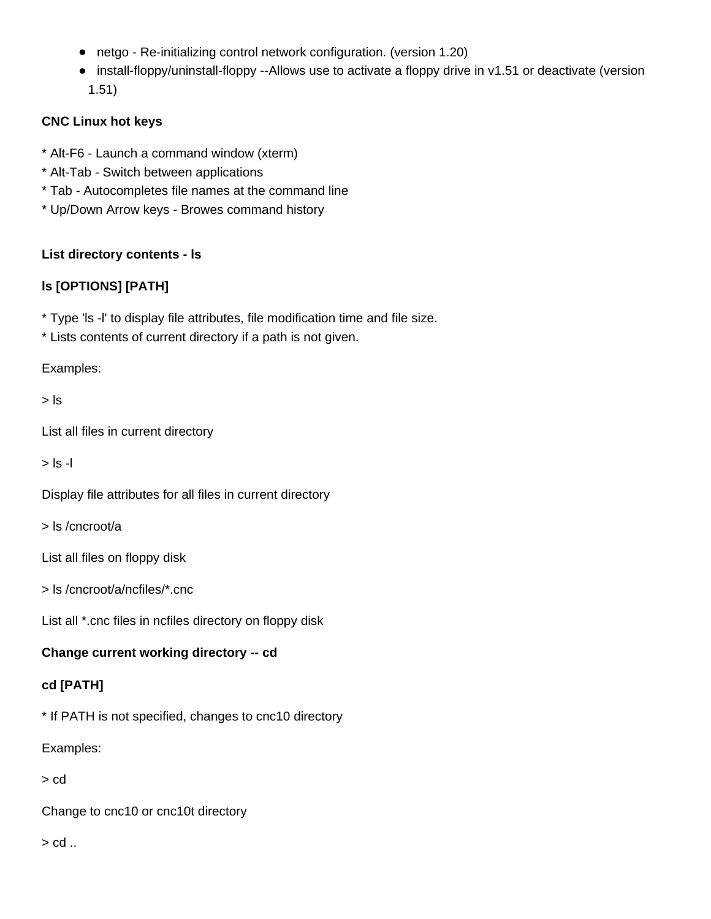- netgo Re-initializing control network configuration. (version 1.20)
- install-floppy/uninstall-floppy --Allows use to activate a floppy drive in v1.51 or deactivate (version 1.51)

# **CNC Linux hot keys**

- \* Alt-F6 Launch a command window (xterm)
- \* Alt-Tab Switch between applications
- \* Tab Autocompletes file names at the command line
- \* Up/Down Arrow keys Browes command history

## **List directory contents - ls**

# **ls [OPTIONS] [PATH]**

\* Type 'ls -l' to display file attributes, file modification time and file size.

\* Lists contents of current directory if a path is not given.

Examples:

> ls

List all files in current directory

 $>$  ls -l

Display file attributes for all files in current directory

> ls /cncroot/a

List all files on floppy disk

> ls /cncroot/a/ncfiles/\*.cnc

List all \*.cnc files in ncfiles directory on floppy disk

# **Change current working directory -- cd**

# **cd [PATH]**

\* If PATH is not specified, changes to cnc10 directory

Examples:

> cd

Change to cnc10 or cnc10t directory

> cd ..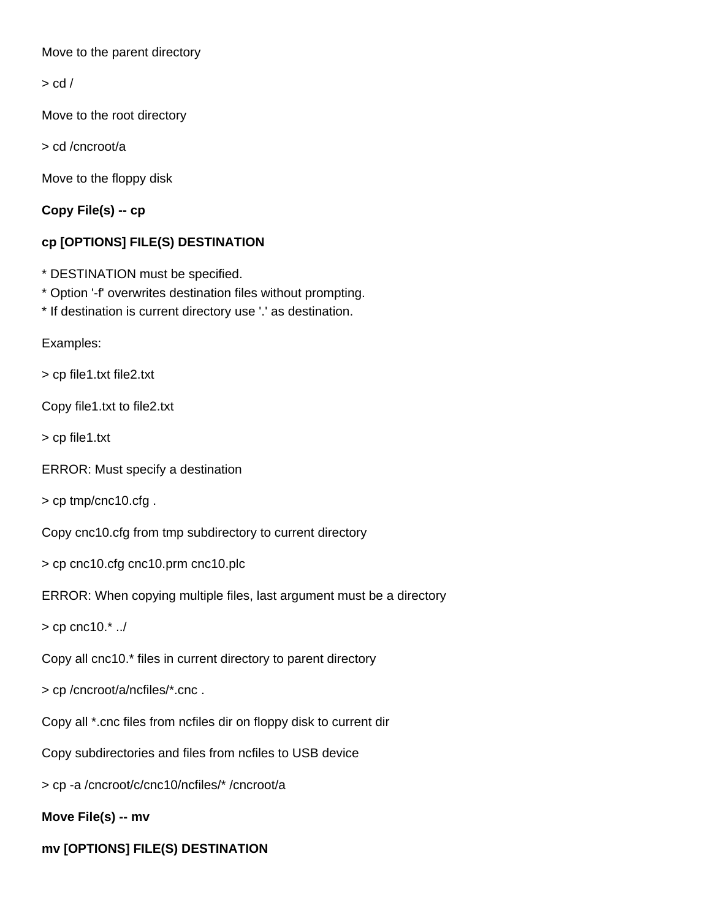Move to the parent directory

 $>$  cd  $/$ 

Move to the root directory

> cd /cncroot/a

Move to the floppy disk

**Copy File(s) -- cp**

# **cp [OPTIONS] FILE(S) DESTINATION**

- \* DESTINATION must be specified.
- \* Option '-f' overwrites destination files without prompting.
- \* If destination is current directory use '.' as destination.

Examples:

> cp file1.txt file2.txt

Copy file1.txt to file2.txt

> cp file1.txt

ERROR: Must specify a destination

> cp tmp/cnc10.cfg .

Copy cnc10.cfg from tmp subdirectory to current directory

> cp cnc10.cfg cnc10.prm cnc10.plc

ERROR: When copying multiple files, last argument must be a directory

 $>$  cp cnc10. $^*$  ../

Copy all cnc10.\* files in current directory to parent directory

> cp /cncroot/a/ncfiles/\*.cnc .

Copy all \*.cnc files from ncfiles dir on floppy disk to current dir

Copy subdirectories and files from ncfiles to USB device

> cp -a /cncroot/c/cnc10/ncfiles/\* /cncroot/a

# **Move File(s) -- mv**

**mv [OPTIONS] FILE(S) DESTINATION**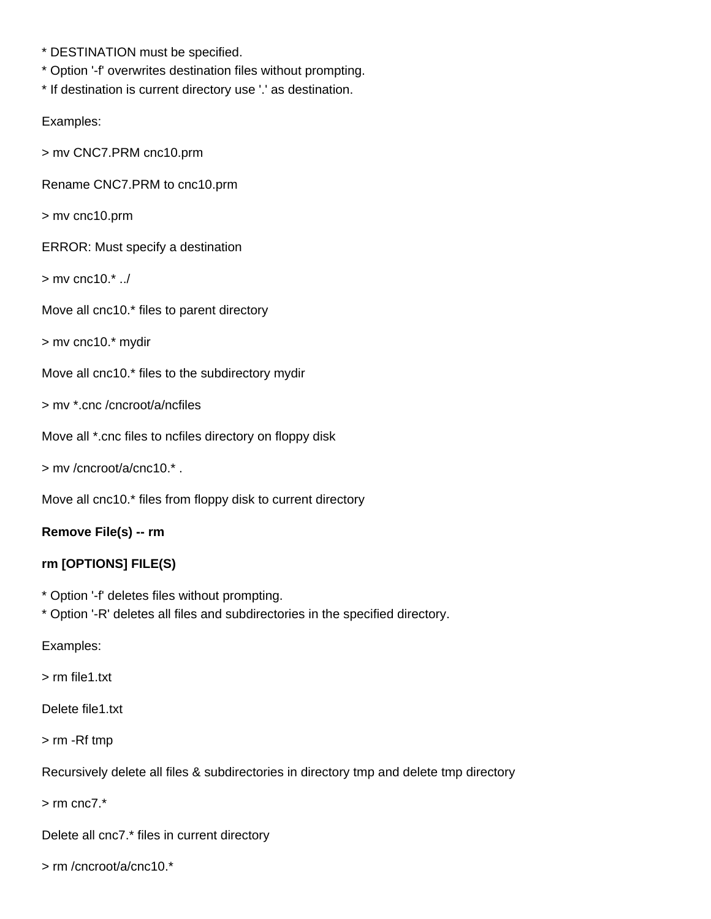- \* DESTINATION must be specified.
- \* Option '-f' overwrites destination files without prompting.
- \* If destination is current directory use '.' as destination.

Examples:

> mv CNC7.PRM cnc10.prm

Rename CNC7.PRM to cnc10.prm

> mv cnc10.prm

ERROR: Must specify a destination

> mv cnc10.\* ../

Move all cnc10.\* files to parent directory

> mv cnc10.\* mydir

Move all cnc10.\* files to the subdirectory mydir

> mv \*.cnc /cncroot/a/ncfiles

Move all \*.cnc files to ncfiles directory on floppy disk

> mv /cncroot/a/cnc10.\* .

Move all cnc10.\* files from floppy disk to current directory

## **Remove File(s) -- rm**

## **rm [OPTIONS] FILE(S)**

- \* Option '-f' deletes files without prompting.
- \* Option '-R' deletes all files and subdirectories in the specified directory.

Examples:

> rm file1.txt

Delete file1.txt

> rm -Rf tmp

Recursively delete all files & subdirectories in directory tmp and delete tmp directory

 $>$  rm cnc $7.*$ 

Delete all cnc7.\* files in current directory

> rm /cncroot/a/cnc10.\*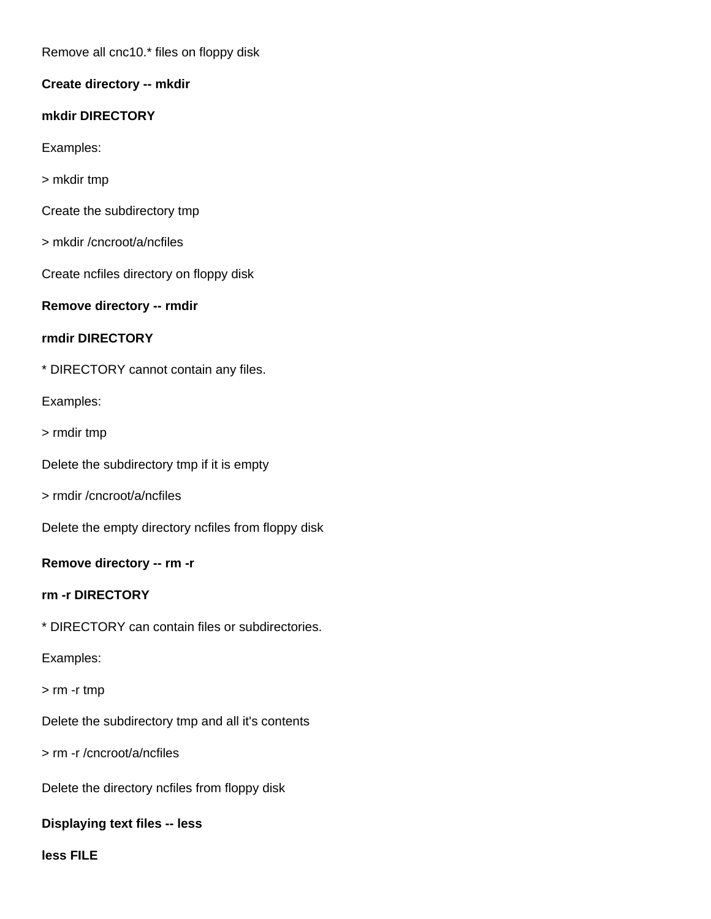Remove all cnc10.\* files on floppy disk

**Create directory -- mkdir**

## **mkdir DIRECTORY**

Examples:

- > mkdir tmp
- Create the subdirectory tmp
- > mkdir /cncroot/a/ncfiles

Create ncfiles directory on floppy disk

## **Remove directory -- rmdir**

## **rmdir DIRECTORY**

\* DIRECTORY cannot contain any files.

Examples:

> rmdir tmp

Delete the subdirectory tmp if it is empty

> rmdir /cncroot/a/ncfiles

Delete the empty directory ncfiles from floppy disk

## **Remove directory -- rm -r**

## **rm -r DIRECTORY**

\* DIRECTORY can contain files or subdirectories.

## Examples:

## > rm -r tmp

Delete the subdirectory tmp and all it's contents

> rm -r /cncroot/a/ncfiles

Delete the directory ncfiles from floppy disk

## **Displaying text files -- less**

**less FILE**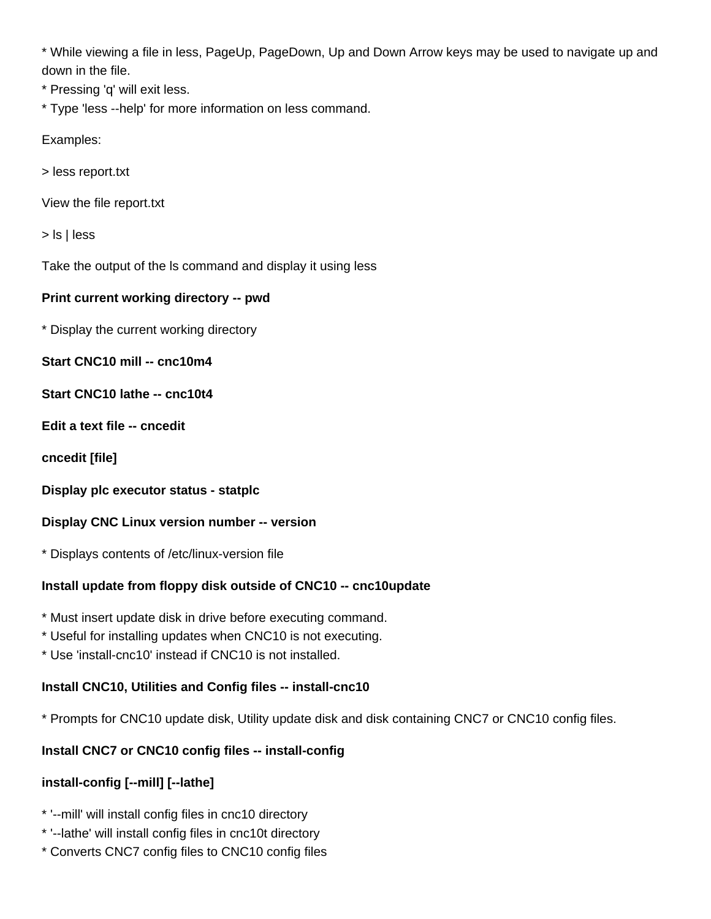\* While viewing a file in less, PageUp, PageDown, Up and Down Arrow keys may be used to navigate up and down in the file.

- \* Pressing 'q' will exit less.
- \* Type 'less --help' for more information on less command.

Examples:

- > less report.txt
- View the file report.txt

> ls | less

Take the output of the ls command and display it using less

#### **Print current working directory -- pwd**

\* Display the current working directory

**Start CNC10 mill -- cnc10m4**

- **Start CNC10 lathe -- cnc10t4**
- **Edit a text file -- cncedit**
- **cncedit [file]**
- **Display plc executor status statplc**

#### **Display CNC Linux version number -- version**

\* Displays contents of /etc/linux-version file

## **Install update from floppy disk outside of CNC10 -- cnc10update**

- \* Must insert update disk in drive before executing command.
- \* Useful for installing updates when CNC10 is not executing.
- \* Use 'install-cnc10' instead if CNC10 is not installed.

## **Install CNC10, Utilities and Config files -- install-cnc10**

\* Prompts for CNC10 update disk, Utility update disk and disk containing CNC7 or CNC10 config files.

## **Install CNC7 or CNC10 config files -- install-config**

# **install-config [--mill] [--lathe]**

- \* '--mill' will install config files in cnc10 directory
- \* '--lathe' will install config files in cnc10t directory
- \* Converts CNC7 config files to CNC10 config files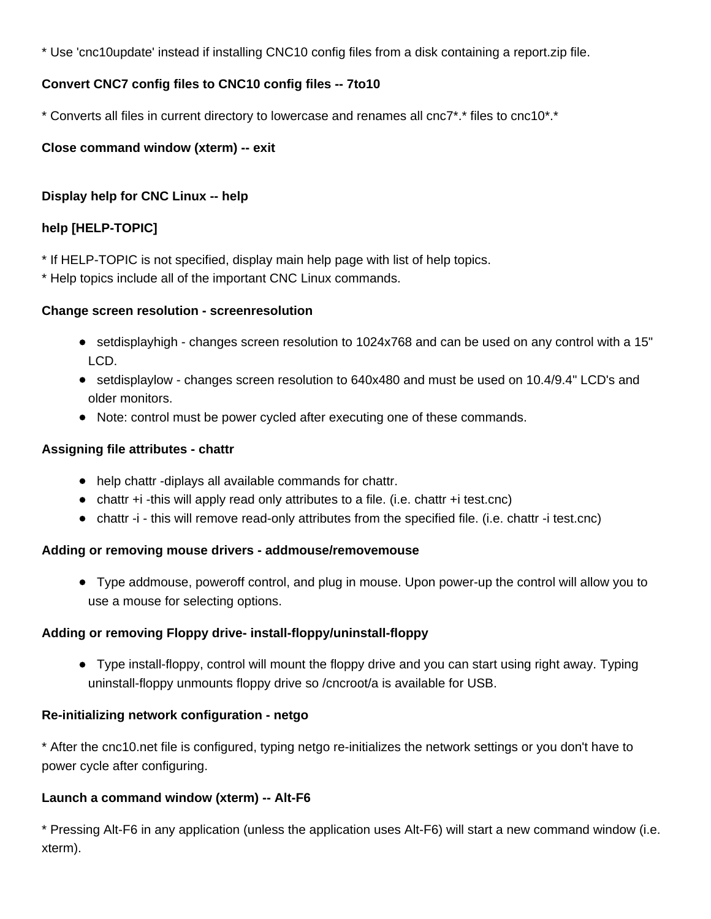\* Use 'cnc10update' instead if installing CNC10 config files from a disk containing a report.zip file.

# **Convert CNC7 config files to CNC10 config files -- 7to10**

\* Converts all files in current directory to lowercase and renames all cnc7\*.\* files to cnc10\*.\*

# **Close command window (xterm) -- exit**

# **Display help for CNC Linux -- help**

# **help [HELP-TOPIC]**

\* If HELP-TOPIC is not specified, display main help page with list of help topics.

\* Help topics include all of the important CNC Linux commands.

## **Change screen resolution - screenresolution**

- setdisplayhigh changes screen resolution to 1024x768 and can be used on any control with a 15" LCD.
- setdisplaylow changes screen resolution to 640x480 and must be used on 10.4/9.4" LCD's and older monitors.
- Note: control must be power cycled after executing one of these commands.

# **Assigning file attributes - chattr**

- help chattr -diplays all available commands for chattr.
- chattr +i -this will apply read only attributes to a file. (i.e. chattr +i test.cnc)
- chattr -i this will remove read-only attributes from the specified file. (i.e. chattr -i test.cnc)

# **Adding or removing mouse drivers - addmouse/removemouse**

Type addmouse, poweroff control, and plug in mouse. Upon power-up the control will allow you to use a mouse for selecting options.

# **Adding or removing Floppy drive- install-floppy/uninstall-floppy**

Type install-floppy, control will mount the floppy drive and you can start using right away. Typing uninstall-floppy unmounts floppy drive so /cncroot/a is available for USB.

# **Re-initializing network configuration - netgo**

\* After the cnc10.net file is configured, typing netgo re-initializes the network settings or you don't have to power cycle after configuring.

# **Launch a command window (xterm) -- Alt-F6**

\* Pressing Alt-F6 in any application (unless the application uses Alt-F6) will start a new command window (i.e. xterm).